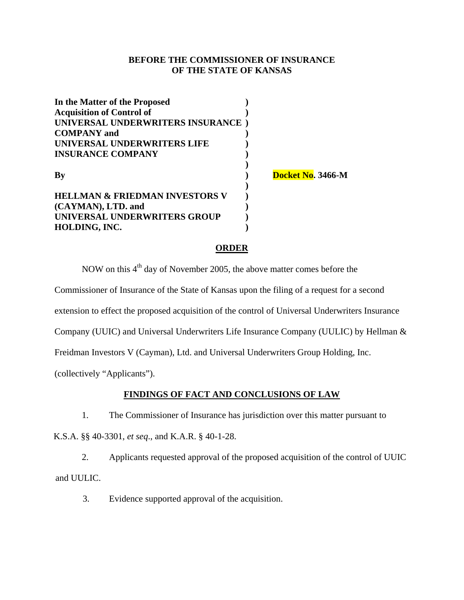## **BEFORE THE COMMISSIONER OF INSURANCE OF THE STATE OF KANSAS**

| In the Matter of the Proposed<br><b>Acquisition of Control of</b> |                   |
|-------------------------------------------------------------------|-------------------|
| UNIVERSAL UNDERWRITERS INSURANCE)                                 |                   |
| <b>COMPANY</b> and                                                |                   |
| UNIVERSAL UNDERWRITERS LIFE                                       |                   |
| <b>INSURANCE COMPANY</b>                                          |                   |
| By                                                                | Docket No. 3466-M |
| HELLMAN & FRIEDMAN INVESTORS V                                    |                   |
| (CAYMAN), LTD. and                                                |                   |
| UNIVERSAL UNDERWRITERS GROUP                                      |                   |
| HOLDING, INC.                                                     |                   |

### **ORDER**

NOW on this  $4<sup>th</sup>$  day of November 2005, the above matter comes before the

Commissioner of Insurance of the State of Kansas upon the filing of a request for a second

extension to effect the proposed acquisition of the control of Universal Underwriters Insurance

Company (UUIC) and Universal Underwriters Life Insurance Company (UULIC) by Hellman &

Freidman Investors V (Cayman), Ltd. and Universal Underwriters Group Holding, Inc.

(collectively "Applicants").

## **FINDINGS OF FACT AND CONCLUSIONS OF LAW**

1. The Commissioner of Insurance has jurisdiction over this matter pursuant to

K.S.A. §§ 40-3301, *et seq*., and K.A.R. § 40-1-28.

2. Applicants requested approval of the proposed acquisition of the control of UUIC and UULIC.

3. Evidence supported approval of the acquisition.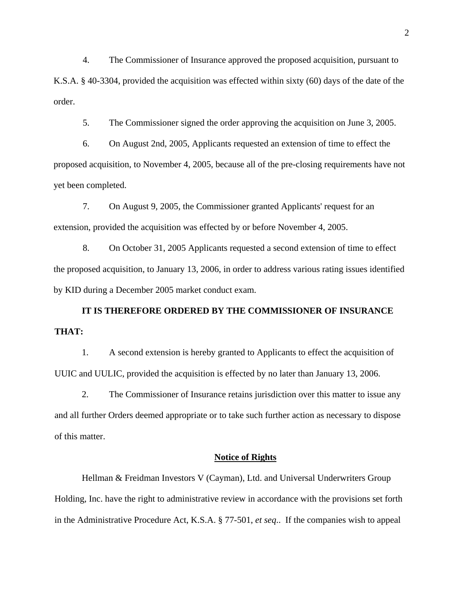4. The Commissioner of Insurance approved the proposed acquisition, pursuant to K.S.A. § 40-3304, provided the acquisition was effected within sixty (60) days of the date of the order.

5. The Commissioner signed the order approving the acquisition on June 3, 2005.

6. On August 2nd, 2005, Applicants requested an extension of time to effect the proposed acquisition, to November 4, 2005, because all of the pre-closing requirements have not yet been completed.

7. On August 9, 2005, the Commissioner granted Applicants' request for an extension, provided the acquisition was effected by or before November 4, 2005.

8. On October 31, 2005 Applicants requested a second extension of time to effect the proposed acquisition, to January 13, 2006, in order to address various rating issues identified by KID during a December 2005 market conduct exam.

**IT IS THEREFORE ORDERED BY THE COMMISSIONER OF INSURANCE THAT:** 

1. A second extension is hereby granted to Applicants to effect the acquisition of UUIC and UULIC, provided the acquisition is effected by no later than January 13, 2006.

2. The Commissioner of Insurance retains jurisdiction over this matter to issue any and all further Orders deemed appropriate or to take such further action as necessary to dispose of this matter.

#### **Notice of Rights**

Hellman & Freidman Investors V (Cayman), Ltd. and Universal Underwriters Group Holding, Inc. have the right to administrative review in accordance with the provisions set forth in the Administrative Procedure Act, K.S.A. § 77-501, *et seq*.. If the companies wish to appeal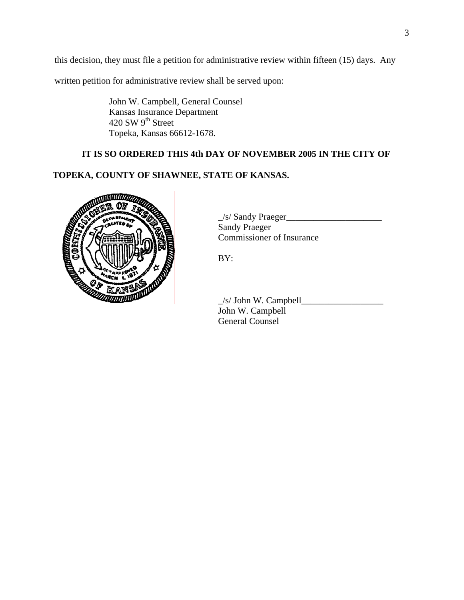this decision, they must file a petition for administrative review within fifteen (15) days. Any

written petition for administrative review shall be served upon:

 John W. Campbell, General Counsel Kansas Insurance Department 420 SW 9<sup>th</sup> Street Topeka, Kansas 66612-1678.

## **IT IS SO ORDERED THIS 4th DAY OF NOVEMBER 2005 IN THE CITY OF**

# **TOPEKA, COUNTY OF SHAWNEE, STATE OF KANSAS.**



 $\angle$ s/ Sandy Praeger $\angle$ Sandy Praeger Commissioner of Insurance

BY:

 $\angle$ s/ John W. Campbell $\angle$ John W. Campbell General Counsel